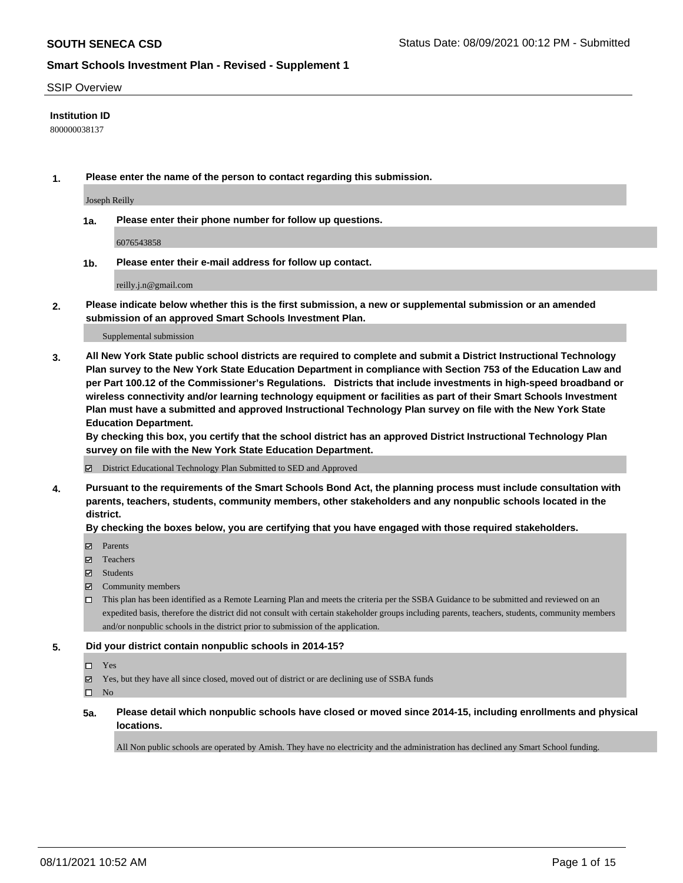#### SSIP Overview

#### **Institution ID**

800000038137

**1. Please enter the name of the person to contact regarding this submission.**

Joseph Reilly

**1a. Please enter their phone number for follow up questions.**

6076543858

**1b. Please enter their e-mail address for follow up contact.**

reilly.j.n@gmail.com

**2. Please indicate below whether this is the first submission, a new or supplemental submission or an amended submission of an approved Smart Schools Investment Plan.**

#### Supplemental submission

**3. All New York State public school districts are required to complete and submit a District Instructional Technology Plan survey to the New York State Education Department in compliance with Section 753 of the Education Law and per Part 100.12 of the Commissioner's Regulations. Districts that include investments in high-speed broadband or wireless connectivity and/or learning technology equipment or facilities as part of their Smart Schools Investment Plan must have a submitted and approved Instructional Technology Plan survey on file with the New York State Education Department.** 

**By checking this box, you certify that the school district has an approved District Instructional Technology Plan survey on file with the New York State Education Department.**

District Educational Technology Plan Submitted to SED and Approved

**4. Pursuant to the requirements of the Smart Schools Bond Act, the planning process must include consultation with parents, teachers, students, community members, other stakeholders and any nonpublic schools located in the district.** 

#### **By checking the boxes below, you are certifying that you have engaged with those required stakeholders.**

- **Parents**
- Teachers
- Students
- $\boxtimes$  Community members
- This plan has been identified as a Remote Learning Plan and meets the criteria per the SSBA Guidance to be submitted and reviewed on an expedited basis, therefore the district did not consult with certain stakeholder groups including parents, teachers, students, community members and/or nonpublic schools in the district prior to submission of the application.
- **5. Did your district contain nonpublic schools in 2014-15?**
	- □ Yes
	- Yes, but they have all since closed, moved out of district or are declining use of SSBA funds

 $\Box$  No

**5a. Please detail which nonpublic schools have closed or moved since 2014-15, including enrollments and physical locations.**

All Non public schools are operated by Amish. They have no electricity and the administration has declined any Smart School funding.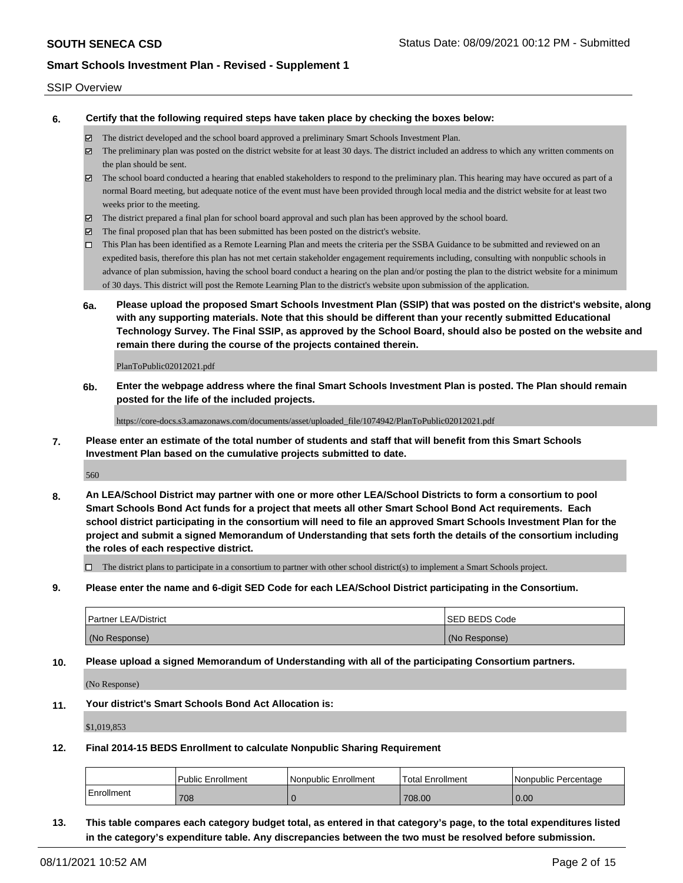#### SSIP Overview

**6. Certify that the following required steps have taken place by checking the boxes below:**

- The district developed and the school board approved a preliminary Smart Schools Investment Plan.
- The preliminary plan was posted on the district website for at least 30 days. The district included an address to which any written comments on the plan should be sent.
- The school board conducted a hearing that enabled stakeholders to respond to the preliminary plan. This hearing may have occured as part of a normal Board meeting, but adequate notice of the event must have been provided through local media and the district website for at least two weeks prior to the meeting.
- The district prepared a final plan for school board approval and such plan has been approved by the school board.
- $\boxtimes$  The final proposed plan that has been submitted has been posted on the district's website.
- This Plan has been identified as a Remote Learning Plan and meets the criteria per the SSBA Guidance to be submitted and reviewed on an expedited basis, therefore this plan has not met certain stakeholder engagement requirements including, consulting with nonpublic schools in advance of plan submission, having the school board conduct a hearing on the plan and/or posting the plan to the district website for a minimum of 30 days. This district will post the Remote Learning Plan to the district's website upon submission of the application.
- **6a. Please upload the proposed Smart Schools Investment Plan (SSIP) that was posted on the district's website, along with any supporting materials. Note that this should be different than your recently submitted Educational Technology Survey. The Final SSIP, as approved by the School Board, should also be posted on the website and remain there during the course of the projects contained therein.**

PlanToPublic02012021.pdf

**6b. Enter the webpage address where the final Smart Schools Investment Plan is posted. The Plan should remain posted for the life of the included projects.**

https://core-docs.s3.amazonaws.com/documents/asset/uploaded\_file/1074942/PlanToPublic02012021.pdf

**7. Please enter an estimate of the total number of students and staff that will benefit from this Smart Schools Investment Plan based on the cumulative projects submitted to date.**

560

**8. An LEA/School District may partner with one or more other LEA/School Districts to form a consortium to pool Smart Schools Bond Act funds for a project that meets all other Smart School Bond Act requirements. Each school district participating in the consortium will need to file an approved Smart Schools Investment Plan for the project and submit a signed Memorandum of Understanding that sets forth the details of the consortium including the roles of each respective district.**

 $\Box$  The district plans to participate in a consortium to partner with other school district(s) to implement a Smart Schools project.

**9. Please enter the name and 6-digit SED Code for each LEA/School District participating in the Consortium.**

| <b>Partner LEA/District</b> | <b>ISED BEDS Code</b> |
|-----------------------------|-----------------------|
| (No Response)               | (No Response)         |

**10. Please upload a signed Memorandum of Understanding with all of the participating Consortium partners.**

(No Response)

**11. Your district's Smart Schools Bond Act Allocation is:**

\$1,019,853

**12. Final 2014-15 BEDS Enrollment to calculate Nonpublic Sharing Requirement**

|            | <b>Public Enrollment</b> | l Nonpublic Enrollment | Total Enrollment | I Nonpublic Percentage |
|------------|--------------------------|------------------------|------------------|------------------------|
| Enrollment | 708                      |                        | 708.00           | 0.00                   |

**13. This table compares each category budget total, as entered in that category's page, to the total expenditures listed in the category's expenditure table. Any discrepancies between the two must be resolved before submission.**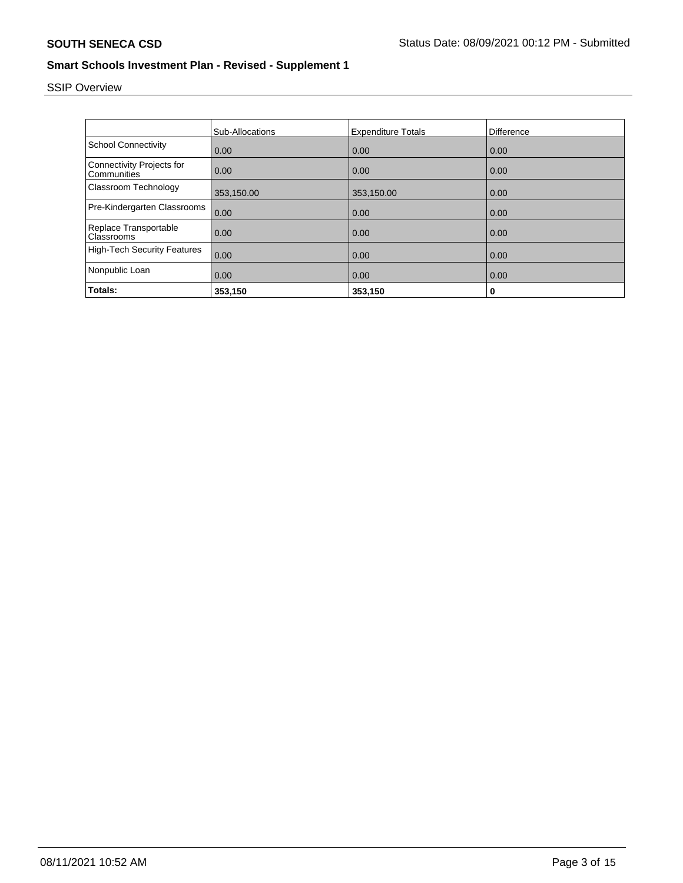# SSIP Overview

|                                                 | Sub-Allocations | <b>Expenditure Totals</b> | Difference |
|-------------------------------------------------|-----------------|---------------------------|------------|
|                                                 |                 |                           |            |
| <b>School Connectivity</b>                      | 0.00            | 0.00                      | 0.00       |
| <b>Connectivity Projects for</b><br>Communities | 0.00            | 0.00                      | 0.00       |
| Classroom Technology                            | 353,150.00      | 353,150.00                | 0.00       |
| Pre-Kindergarten Classrooms                     | 0.00            | 0.00                      | 0.00       |
| Replace Transportable<br>Classrooms             | 0.00            | 0.00                      | 0.00       |
| <b>High-Tech Security Features</b>              | 0.00            | 0.00                      | 0.00       |
| Nonpublic Loan                                  | 0.00            | 0.00                      | 0.00       |
| Totals:                                         | 353,150         | 353,150                   | 0          |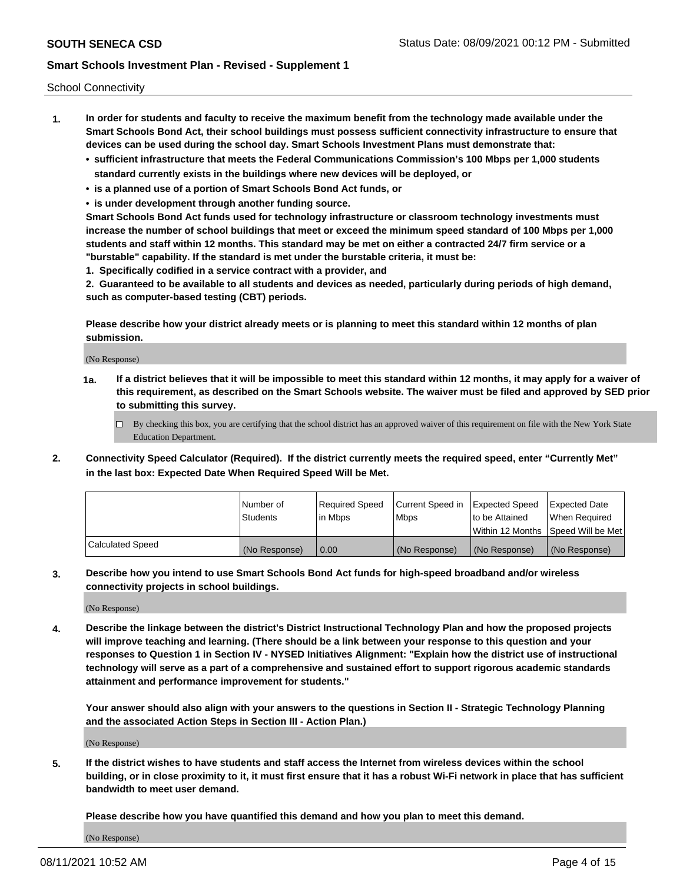School Connectivity

- **1. In order for students and faculty to receive the maximum benefit from the technology made available under the Smart Schools Bond Act, their school buildings must possess sufficient connectivity infrastructure to ensure that devices can be used during the school day. Smart Schools Investment Plans must demonstrate that:**
	- **• sufficient infrastructure that meets the Federal Communications Commission's 100 Mbps per 1,000 students standard currently exists in the buildings where new devices will be deployed, or**
	- **• is a planned use of a portion of Smart Schools Bond Act funds, or**
	- **• is under development through another funding source.**

**Smart Schools Bond Act funds used for technology infrastructure or classroom technology investments must increase the number of school buildings that meet or exceed the minimum speed standard of 100 Mbps per 1,000 students and staff within 12 months. This standard may be met on either a contracted 24/7 firm service or a "burstable" capability. If the standard is met under the burstable criteria, it must be:**

**1. Specifically codified in a service contract with a provider, and**

**2. Guaranteed to be available to all students and devices as needed, particularly during periods of high demand, such as computer-based testing (CBT) periods.**

**Please describe how your district already meets or is planning to meet this standard within 12 months of plan submission.**

(No Response)

**1a. If a district believes that it will be impossible to meet this standard within 12 months, it may apply for a waiver of this requirement, as described on the Smart Schools website. The waiver must be filed and approved by SED prior to submitting this survey.**

 $\Box$  By checking this box, you are certifying that the school district has an approved waiver of this requirement on file with the New York State Education Department.

**2. Connectivity Speed Calculator (Required). If the district currently meets the required speed, enter "Currently Met" in the last box: Expected Date When Required Speed Will be Met.**

|                  | l Number of     | Required Speed | Current Speed in | Expected Speed | Expected Date                           |
|------------------|-----------------|----------------|------------------|----------------|-----------------------------------------|
|                  | <b>Students</b> | In Mbps        | l Mbps           | to be Attained | When Required                           |
|                  |                 |                |                  |                | l Within 12 Months ISpeed Will be Met l |
| Calculated Speed | (No Response)   | 0.00           | (No Response)    | (No Response)  | (No Response)                           |

**3. Describe how you intend to use Smart Schools Bond Act funds for high-speed broadband and/or wireless connectivity projects in school buildings.**

(No Response)

**4. Describe the linkage between the district's District Instructional Technology Plan and how the proposed projects will improve teaching and learning. (There should be a link between your response to this question and your responses to Question 1 in Section IV - NYSED Initiatives Alignment: "Explain how the district use of instructional technology will serve as a part of a comprehensive and sustained effort to support rigorous academic standards attainment and performance improvement for students."** 

**Your answer should also align with your answers to the questions in Section II - Strategic Technology Planning and the associated Action Steps in Section III - Action Plan.)**

(No Response)

**5. If the district wishes to have students and staff access the Internet from wireless devices within the school building, or in close proximity to it, it must first ensure that it has a robust Wi-Fi network in place that has sufficient bandwidth to meet user demand.**

**Please describe how you have quantified this demand and how you plan to meet this demand.**

(No Response)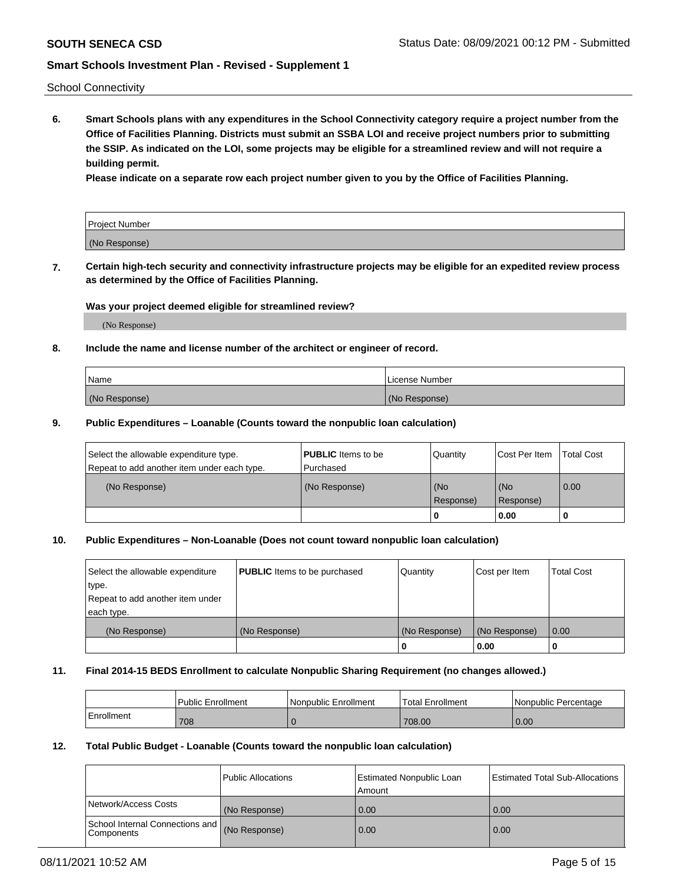School Connectivity

**6. Smart Schools plans with any expenditures in the School Connectivity category require a project number from the Office of Facilities Planning. Districts must submit an SSBA LOI and receive project numbers prior to submitting the SSIP. As indicated on the LOI, some projects may be eligible for a streamlined review and will not require a building permit.**

**Please indicate on a separate row each project number given to you by the Office of Facilities Planning.**

| Project Number |  |
|----------------|--|
| (No Response)  |  |

**7. Certain high-tech security and connectivity infrastructure projects may be eligible for an expedited review process as determined by the Office of Facilities Planning.**

#### **Was your project deemed eligible for streamlined review?**

(No Response)

#### **8. Include the name and license number of the architect or engineer of record.**

| Name          | License Number |
|---------------|----------------|
| (No Response) | (No Response)  |

#### **9. Public Expenditures – Loanable (Counts toward the nonpublic loan calculation)**

| Select the allowable expenditure type.<br>Repeat to add another item under each type. | <b>PUBLIC</b> Items to be<br>l Purchased | Quantity           | Cost Per Item    | <b>Total Cost</b> |
|---------------------------------------------------------------------------------------|------------------------------------------|--------------------|------------------|-------------------|
| (No Response)                                                                         | (No Response)                            | l (No<br>Response) | (No<br>Response) | $\overline{0.00}$ |
|                                                                                       |                                          | O                  | 0.00             |                   |

### **10. Public Expenditures – Non-Loanable (Does not count toward nonpublic loan calculation)**

| Select the allowable expenditure<br>type.<br>Repeat to add another item under<br>each type. | <b>PUBLIC</b> Items to be purchased | Quantity      | Cost per Item | <b>Total Cost</b> |
|---------------------------------------------------------------------------------------------|-------------------------------------|---------------|---------------|-------------------|
| (No Response)                                                                               | (No Response)                       | (No Response) | (No Response) | 0.00              |
|                                                                                             |                                     |               | 0.00          |                   |

#### **11. Final 2014-15 BEDS Enrollment to calculate Nonpublic Sharing Requirement (no changes allowed.)**

|            | l Public Enrollment | Nonpublic Enrollment | <b>Total Enrollment</b> | l Nonpublic Percentage |
|------------|---------------------|----------------------|-------------------------|------------------------|
| Enrollment | 708                 |                      | 708.00                  | 0.00                   |

#### **12. Total Public Budget - Loanable (Counts toward the nonpublic loan calculation)**

|                                                 | Public Allocations | Estimated Nonpublic Loan<br>Amount | <b>Estimated Total Sub-Allocations</b> |
|-------------------------------------------------|--------------------|------------------------------------|----------------------------------------|
| Network/Access Costs                            | (No Response)      | 0.00                               | 0.00                                   |
| School Internal Connections and<br>l Components | (No Response)      | 0.00                               | 0.00                                   |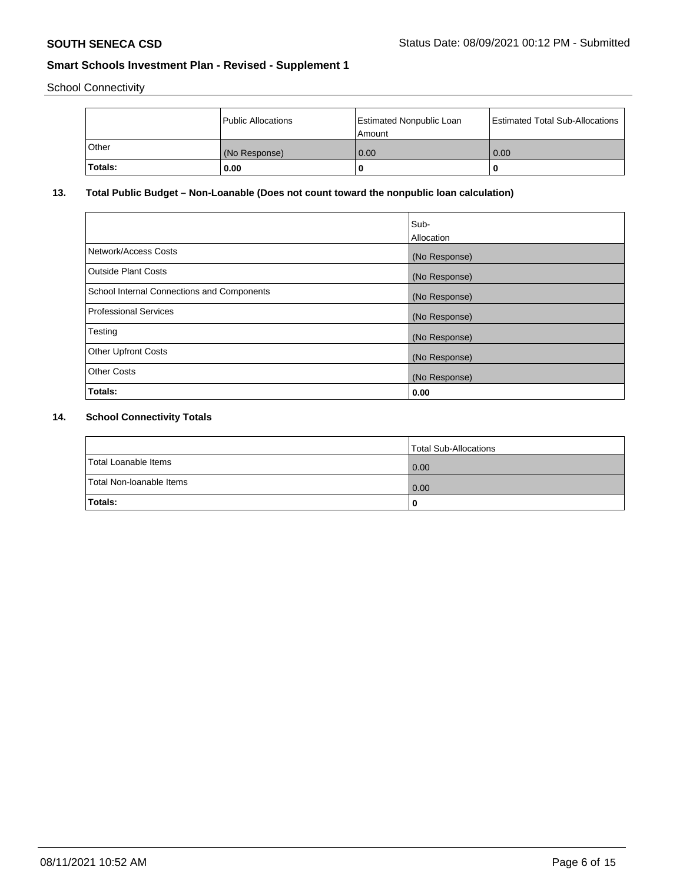School Connectivity

|              | Public Allocations | <b>Estimated Nonpublic Loan</b><br>Amount | <b>Estimated Total Sub-Allocations</b> |
|--------------|--------------------|-------------------------------------------|----------------------------------------|
| <b>Other</b> | (No Response)      | 0.00                                      | 0.00                                   |
| Totals:      | 0.00               |                                           | 0                                      |

# **13. Total Public Budget – Non-Loanable (Does not count toward the nonpublic loan calculation)**

|                                                   | Sub-<br>Allocation |
|---------------------------------------------------|--------------------|
| Network/Access Costs                              | (No Response)      |
| <b>Outside Plant Costs</b>                        | (No Response)      |
| <b>School Internal Connections and Components</b> | (No Response)      |
| Professional Services                             | (No Response)      |
| Testing                                           | (No Response)      |
| <b>Other Upfront Costs</b>                        | (No Response)      |
| <b>Other Costs</b>                                | (No Response)      |
| Totals:                                           | 0.00               |

# **14. School Connectivity Totals**

|                          | Total Sub-Allocations |
|--------------------------|-----------------------|
| Total Loanable Items     | 0.00                  |
| Total Non-Ioanable Items | 0.00                  |
| Totals:                  | 0                     |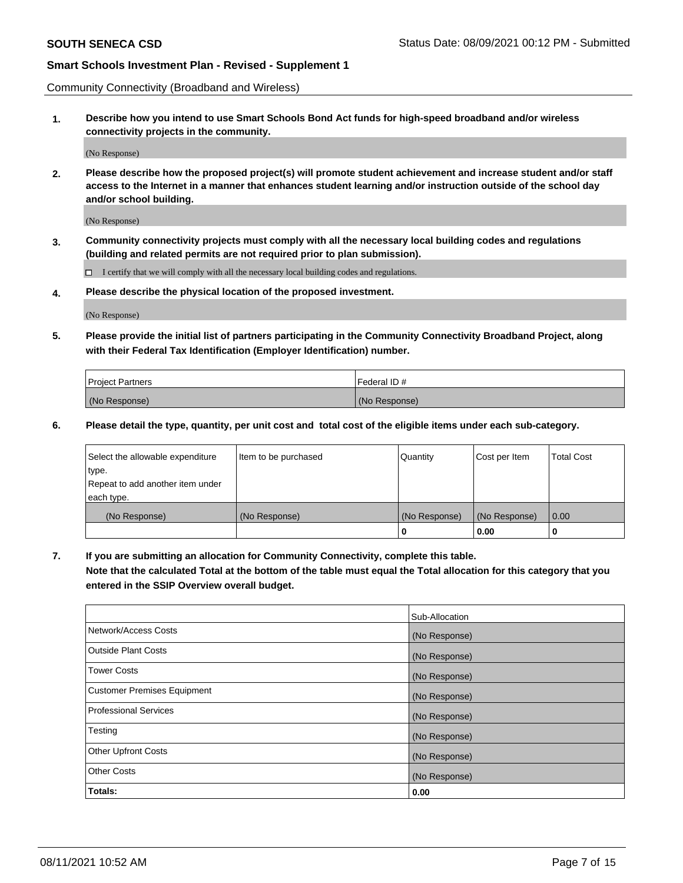Community Connectivity (Broadband and Wireless)

**1. Describe how you intend to use Smart Schools Bond Act funds for high-speed broadband and/or wireless connectivity projects in the community.**

(No Response)

**2. Please describe how the proposed project(s) will promote student achievement and increase student and/or staff access to the Internet in a manner that enhances student learning and/or instruction outside of the school day and/or school building.**

(No Response)

**3. Community connectivity projects must comply with all the necessary local building codes and regulations (building and related permits are not required prior to plan submission).**

 $\Box$  I certify that we will comply with all the necessary local building codes and regulations.

**4. Please describe the physical location of the proposed investment.**

(No Response)

**5. Please provide the initial list of partners participating in the Community Connectivity Broadband Project, along with their Federal Tax Identification (Employer Identification) number.**

| <b>Project Partners</b> | l Federal ID # |
|-------------------------|----------------|
| (No Response)           | (No Response)  |

**6. Please detail the type, quantity, per unit cost and total cost of the eligible items under each sub-category.**

| Select the allowable expenditure | Item to be purchased | Quantity      | Cost per Item | <b>Total Cost</b> |
|----------------------------------|----------------------|---------------|---------------|-------------------|
| type.                            |                      |               |               |                   |
| Repeat to add another item under |                      |               |               |                   |
| each type.                       |                      |               |               |                   |
| (No Response)                    | (No Response)        | (No Response) | (No Response) | 0.00              |
|                                  |                      | o             | 0.00          |                   |

**7. If you are submitting an allocation for Community Connectivity, complete this table.**

**Note that the calculated Total at the bottom of the table must equal the Total allocation for this category that you entered in the SSIP Overview overall budget.**

|                                    | Sub-Allocation |
|------------------------------------|----------------|
| Network/Access Costs               | (No Response)  |
| Outside Plant Costs                | (No Response)  |
| <b>Tower Costs</b>                 | (No Response)  |
| <b>Customer Premises Equipment</b> | (No Response)  |
| <b>Professional Services</b>       | (No Response)  |
| Testing                            | (No Response)  |
| <b>Other Upfront Costs</b>         | (No Response)  |
| <b>Other Costs</b>                 | (No Response)  |
| Totals:                            | 0.00           |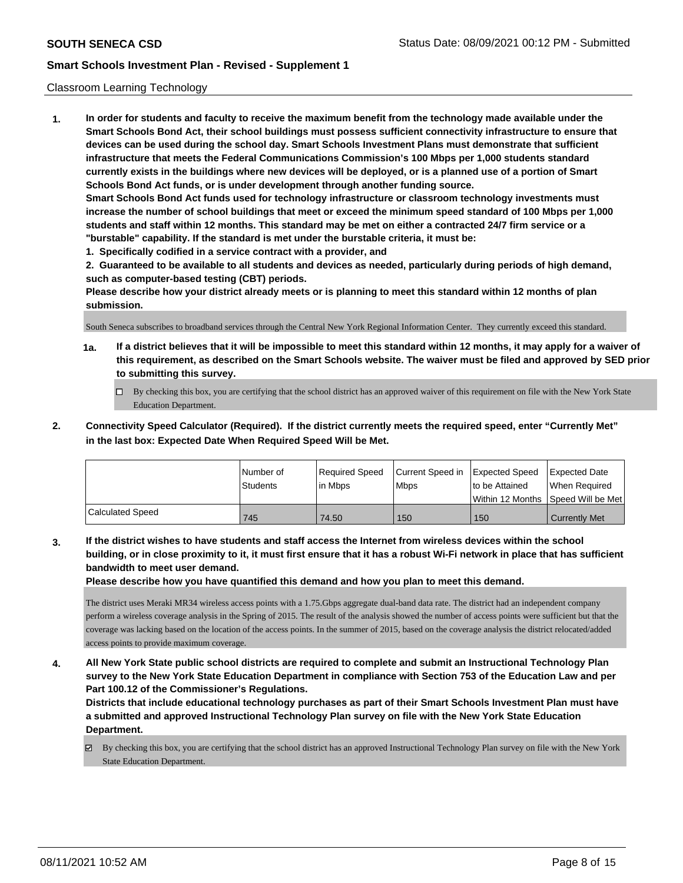#### Classroom Learning Technology

**1. In order for students and faculty to receive the maximum benefit from the technology made available under the Smart Schools Bond Act, their school buildings must possess sufficient connectivity infrastructure to ensure that devices can be used during the school day. Smart Schools Investment Plans must demonstrate that sufficient infrastructure that meets the Federal Communications Commission's 100 Mbps per 1,000 students standard currently exists in the buildings where new devices will be deployed, or is a planned use of a portion of Smart Schools Bond Act funds, or is under development through another funding source. Smart Schools Bond Act funds used for technology infrastructure or classroom technology investments must increase the number of school buildings that meet or exceed the minimum speed standard of 100 Mbps per 1,000 students and staff within 12 months. This standard may be met on either a contracted 24/7 firm service or a "burstable" capability. If the standard is met under the burstable criteria, it must be:**

**1. Specifically codified in a service contract with a provider, and**

**2. Guaranteed to be available to all students and devices as needed, particularly during periods of high demand, such as computer-based testing (CBT) periods.**

**Please describe how your district already meets or is planning to meet this standard within 12 months of plan submission.**

South Seneca subscribes to broadband services through the Central New York Regional Information Center. They currently exceed this standard.

- **1a. If a district believes that it will be impossible to meet this standard within 12 months, it may apply for a waiver of this requirement, as described on the Smart Schools website. The waiver must be filed and approved by SED prior to submitting this survey.**
	- By checking this box, you are certifying that the school district has an approved waiver of this requirement on file with the New York State Education Department.
- **2. Connectivity Speed Calculator (Required). If the district currently meets the required speed, enter "Currently Met" in the last box: Expected Date When Required Speed Will be Met.**

|                  | l Number of     | Required Speed | Current Speed in | Expected Speed     | Expected Date        |
|------------------|-----------------|----------------|------------------|--------------------|----------------------|
|                  | <b>Students</b> | l in Mbps      | <b>Mbps</b>      | Ito be Attained    | l When Reauired      |
|                  |                 |                |                  | l Within 12 Months | Speed Will be Met l  |
| Calculated Speed | 745             | 74.50          | 150              | 150                | <b>Currently Met</b> |

**3. If the district wishes to have students and staff access the Internet from wireless devices within the school building, or in close proximity to it, it must first ensure that it has a robust Wi-Fi network in place that has sufficient bandwidth to meet user demand.**

**Please describe how you have quantified this demand and how you plan to meet this demand.**

The district uses Meraki MR34 wireless access points with a 1.75.Gbps aggregate dual-band data rate. The district had an independent company perform a wireless coverage analysis in the Spring of 2015. The result of the analysis showed the number of access points were sufficient but that the coverage was lacking based on the location of the access points. In the summer of 2015, based on the coverage analysis the district relocated/added access points to provide maximum coverage.

**4. All New York State public school districts are required to complete and submit an Instructional Technology Plan survey to the New York State Education Department in compliance with Section 753 of the Education Law and per Part 100.12 of the Commissioner's Regulations.**

**Districts that include educational technology purchases as part of their Smart Schools Investment Plan must have a submitted and approved Instructional Technology Plan survey on file with the New York State Education Department.**

 $\boxtimes$  By checking this box, you are certifying that the school district has an approved Instructional Technology Plan survey on file with the New York State Education Department.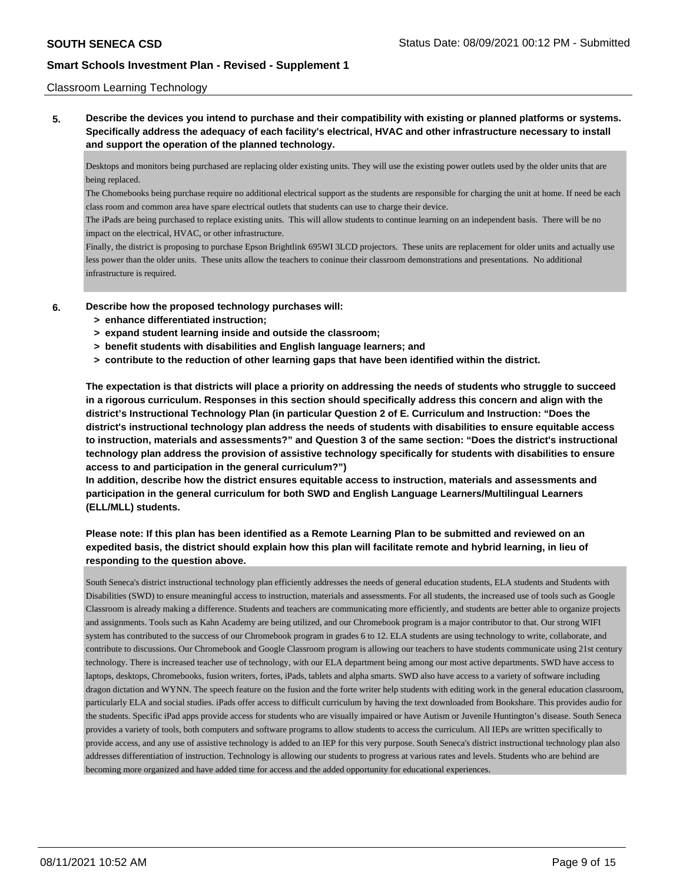#### Classroom Learning Technology

**5. Describe the devices you intend to purchase and their compatibility with existing or planned platforms or systems. Specifically address the adequacy of each facility's electrical, HVAC and other infrastructure necessary to install and support the operation of the planned technology.**

Desktops and monitors being purchased are replacing older existing units. They will use the existing power outlets used by the older units that are being replaced.

The Chomebooks being purchase require no additional electrical support as the students are responsible for charging the unit at home. If need be each class room and common area have spare electrical outlets that students can use to charge their device.

The iPads are being purchased to replace existing units. This will allow students to continue learning on an independent basis. There will be no impact on the electrical, HVAC, or other infrastructure.

Finally, the district is proposing to purchase Epson Brightlink 695WI 3LCD projectors. These units are replacement for older units and actually use less power than the older units. These units allow the teachers to coninue their classroom demonstrations and presentations. No additional infrastructure is required.

#### **6. Describe how the proposed technology purchases will:**

- **> enhance differentiated instruction;**
- **> expand student learning inside and outside the classroom;**
- **> benefit students with disabilities and English language learners; and**
- **> contribute to the reduction of other learning gaps that have been identified within the district.**

**The expectation is that districts will place a priority on addressing the needs of students who struggle to succeed in a rigorous curriculum. Responses in this section should specifically address this concern and align with the district's Instructional Technology Plan (in particular Question 2 of E. Curriculum and Instruction: "Does the district's instructional technology plan address the needs of students with disabilities to ensure equitable access to instruction, materials and assessments?" and Question 3 of the same section: "Does the district's instructional technology plan address the provision of assistive technology specifically for students with disabilities to ensure access to and participation in the general curriculum?")**

**In addition, describe how the district ensures equitable access to instruction, materials and assessments and participation in the general curriculum for both SWD and English Language Learners/Multilingual Learners (ELL/MLL) students.**

### **Please note: If this plan has been identified as a Remote Learning Plan to be submitted and reviewed on an expedited basis, the district should explain how this plan will facilitate remote and hybrid learning, in lieu of responding to the question above.**

South Seneca's district instructional technology plan efficiently addresses the needs of general education students, ELA students and Students with Disabilities (SWD) to ensure meaningful access to instruction, materials and assessments. For all students, the increased use of tools such as Google Classroom is already making a difference. Students and teachers are communicating more efficiently, and students are better able to organize projects and assignments. Tools such as Kahn Academy are being utilized, and our Chromebook program is a major contributor to that. Our strong WIFI system has contributed to the success of our Chromebook program in grades 6 to 12. ELA students are using technology to write, collaborate, and contribute to discussions. Our Chromebook and Google Classroom program is allowing our teachers to have students communicate using 21st century technology. There is increased teacher use of technology, with our ELA department being among our most active departments. SWD have access to laptops, desktops, Chromebooks, fusion writers, fortes, iPads, tablets and alpha smarts. SWD also have access to a variety of software including dragon dictation and WYNN. The speech feature on the fusion and the forte writer help students with editing work in the general education classroom, particularly ELA and social studies. iPads offer access to difficult curriculum by having the text downloaded from Bookshare. This provides audio for the students. Specific iPad apps provide access for students who are visually impaired or have Autism or Juvenile Huntington's disease. South Seneca provides a variety of tools, both computers and software programs to allow students to access the curriculum. All IEPs are written specifically to provide access, and any use of assistive technology is added to an IEP for this very purpose. South Seneca's district instructional technology plan also addresses differentiation of instruction. Technology is allowing our students to progress at various rates and levels. Students who are behind are becoming more organized and have added time for access and the added opportunity for educational experiences.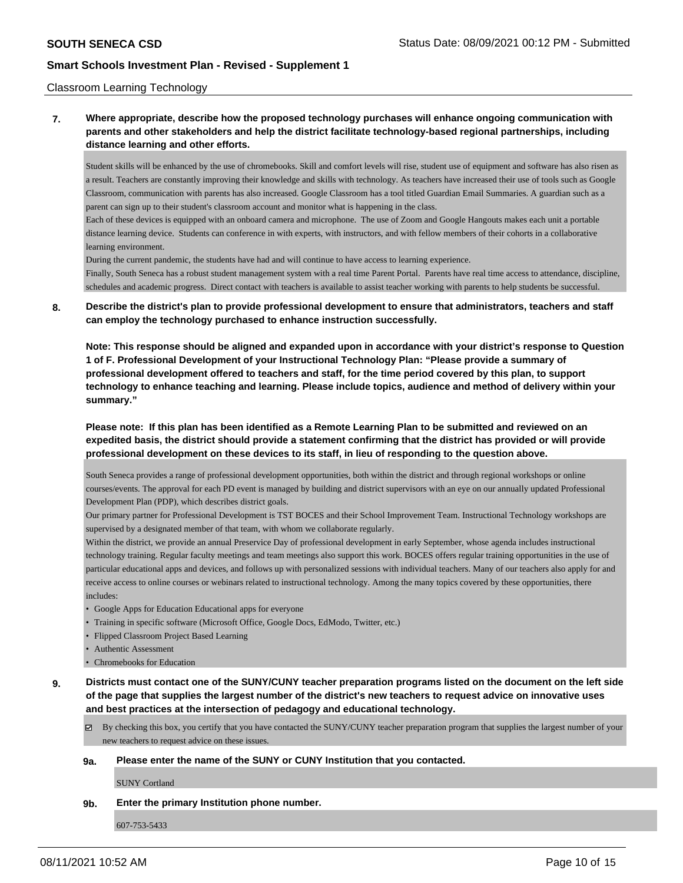#### Classroom Learning Technology

### **7. Where appropriate, describe how the proposed technology purchases will enhance ongoing communication with parents and other stakeholders and help the district facilitate technology-based regional partnerships, including distance learning and other efforts.**

Student skills will be enhanced by the use of chromebooks. Skill and comfort levels will rise, student use of equipment and software has also risen as a result. Teachers are constantly improving their knowledge and skills with technology. As teachers have increased their use of tools such as Google Classroom, communication with parents has also increased. Google Classroom has a tool titled Guardian Email Summaries. A guardian such as a parent can sign up to their student's classroom account and monitor what is happening in the class.

Each of these devices is equipped with an onboard camera and microphone. The use of Zoom and Google Hangouts makes each unit a portable distance learning device. Students can conference in with experts, with instructors, and with fellow members of their cohorts in a collaborative learning environment.

During the current pandemic, the students have had and will continue to have access to learning experience.

Finally, South Seneca has a robust student management system with a real time Parent Portal. Parents have real time access to attendance, discipline, schedules and academic progress. Direct contact with teachers is available to assist teacher working with parents to help students be successful.

### **8. Describe the district's plan to provide professional development to ensure that administrators, teachers and staff can employ the technology purchased to enhance instruction successfully.**

**Note: This response should be aligned and expanded upon in accordance with your district's response to Question 1 of F. Professional Development of your Instructional Technology Plan: "Please provide a summary of professional development offered to teachers and staff, for the time period covered by this plan, to support technology to enhance teaching and learning. Please include topics, audience and method of delivery within your summary."**

**Please note: If this plan has been identified as a Remote Learning Plan to be submitted and reviewed on an expedited basis, the district should provide a statement confirming that the district has provided or will provide professional development on these devices to its staff, in lieu of responding to the question above.**

South Seneca provides a range of professional development opportunities, both within the district and through regional workshops or online courses/events. The approval for each PD event is managed by building and district supervisors with an eye on our annually updated Professional Development Plan (PDP), which describes district goals.

Our primary partner for Professional Development is TST BOCES and their School Improvement Team. Instructional Technology workshops are supervised by a designated member of that team, with whom we collaborate regularly.

Within the district, we provide an annual Preservice Day of professional development in early September, whose agenda includes instructional technology training. Regular faculty meetings and team meetings also support this work. BOCES offers regular training opportunities in the use of particular educational apps and devices, and follows up with personalized sessions with individual teachers. Many of our teachers also apply for and receive access to online courses or webinars related to instructional technology. Among the many topics covered by these opportunities, there includes:

- Google Apps for Education Educational apps for everyone
- Training in specific software (Microsoft Office, Google Docs, EdModo, Twitter, etc.)
- Flipped Classroom Project Based Learning
- Authentic Assessment
- Chromebooks for Education
- **9. Districts must contact one of the SUNY/CUNY teacher preparation programs listed on the document on the left side of the page that supplies the largest number of the district's new teachers to request advice on innovative uses and best practices at the intersection of pedagogy and educational technology.**

 $\boxtimes$  By checking this box, you certify that you have contacted the SUNY/CUNY teacher preparation program that supplies the largest number of your new teachers to request advice on these issues.

#### **9a. Please enter the name of the SUNY or CUNY Institution that you contacted.**

SUNY Cortland

#### **9b. Enter the primary Institution phone number.**

607-753-5433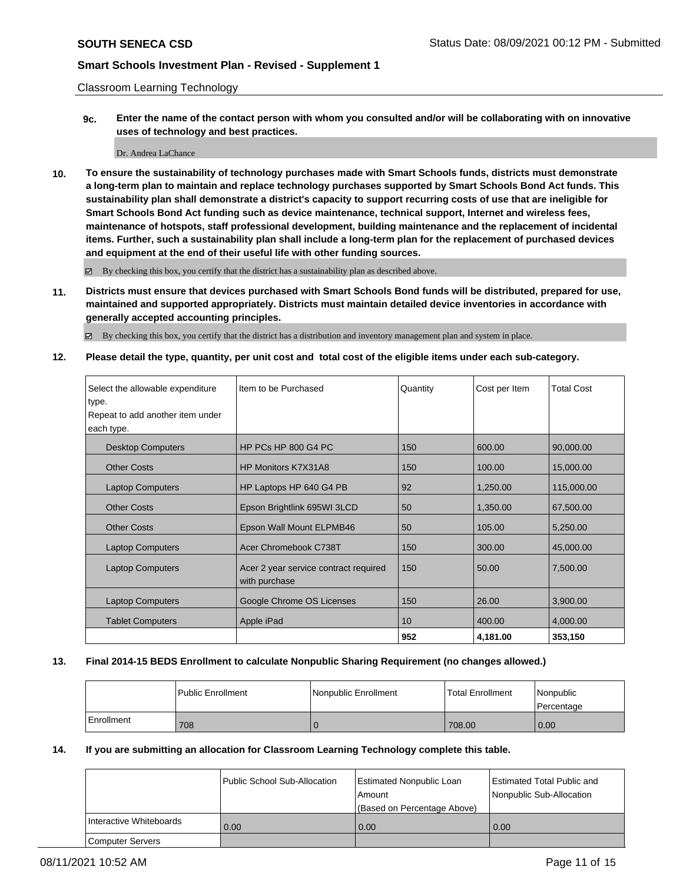Classroom Learning Technology

**9c. Enter the name of the contact person with whom you consulted and/or will be collaborating with on innovative uses of technology and best practices.**

#### Dr. Andrea LaChance

**10. To ensure the sustainability of technology purchases made with Smart Schools funds, districts must demonstrate a long-term plan to maintain and replace technology purchases supported by Smart Schools Bond Act funds. This sustainability plan shall demonstrate a district's capacity to support recurring costs of use that are ineligible for Smart Schools Bond Act funding such as device maintenance, technical support, Internet and wireless fees, maintenance of hotspots, staff professional development, building maintenance and the replacement of incidental items. Further, such a sustainability plan shall include a long-term plan for the replacement of purchased devices and equipment at the end of their useful life with other funding sources.**

By checking this box, you certify that the district has a sustainability plan as described above.

**11. Districts must ensure that devices purchased with Smart Schools Bond funds will be distributed, prepared for use, maintained and supported appropriately. Districts must maintain detailed device inventories in accordance with generally accepted accounting principles.**

By checking this box, you certify that the district has a distribution and inventory management plan and system in place.

**12. Please detail the type, quantity, per unit cost and total cost of the eligible items under each sub-category.**

| Select the allowable expenditure | Item to be Purchased                                   | Quantity | Cost per Item | <b>Total Cost</b> |
|----------------------------------|--------------------------------------------------------|----------|---------------|-------------------|
| type.                            |                                                        |          |               |                   |
| Repeat to add another item under |                                                        |          |               |                   |
| each type.                       |                                                        |          |               |                   |
| <b>Desktop Computers</b>         | HP PCs HP 800 G4 PC                                    | 150      | 600.00        | 90,000.00         |
| <b>Other Costs</b>               | HP Monitors K7X31A8                                    | 150      | 100.00        | 15,000.00         |
| <b>Laptop Computers</b>          | HP Laptops HP 640 G4 PB                                | 92       | 1,250.00      | 115,000.00        |
| <b>Other Costs</b>               | Epson Brightlink 695WI 3LCD                            | 50       | 1,350.00      | 67,500.00         |
| <b>Other Costs</b>               | Epson Wall Mount ELPMB46                               | 50       | 105.00        | 5,250.00          |
| <b>Laptop Computers</b>          | Acer Chromebook C738T                                  | 150      | 300.00        | 45,000.00         |
| <b>Laptop Computers</b>          | Acer 2 year service contract required<br>with purchase | 150      | 50.00         | 7,500.00          |
| <b>Laptop Computers</b>          | Google Chrome OS Licenses                              | 150      | 26.00         | 3,900.00          |
| <b>Tablet Computers</b>          | Apple iPad                                             | 10       | 400.00        | 4,000.00          |
|                                  |                                                        | 952      | 4,181.00      | 353,150           |

#### **13. Final 2014-15 BEDS Enrollment to calculate Nonpublic Sharing Requirement (no changes allowed.)**

|            | <b>Public Enrollment</b> | <b>Nonpublic Enrollment</b> | <b>Total Enrollment</b> | Nonpublic<br>l Percentage |
|------------|--------------------------|-----------------------------|-------------------------|---------------------------|
| Enrollment | 708                      |                             | 708.00                  | 0.00                      |

#### **14. If you are submitting an allocation for Classroom Learning Technology complete this table.**

|                         | Public School Sub-Allocation | <b>Estimated Nonpublic Loan</b><br>l Amount<br>(Based on Percentage Above) | Estimated Total Public and<br>Nonpublic Sub-Allocation |
|-------------------------|------------------------------|----------------------------------------------------------------------------|--------------------------------------------------------|
| Interactive Whiteboards | 0.00                         | 0.00                                                                       | 0.00                                                   |
| <b>Computer Servers</b> |                              |                                                                            |                                                        |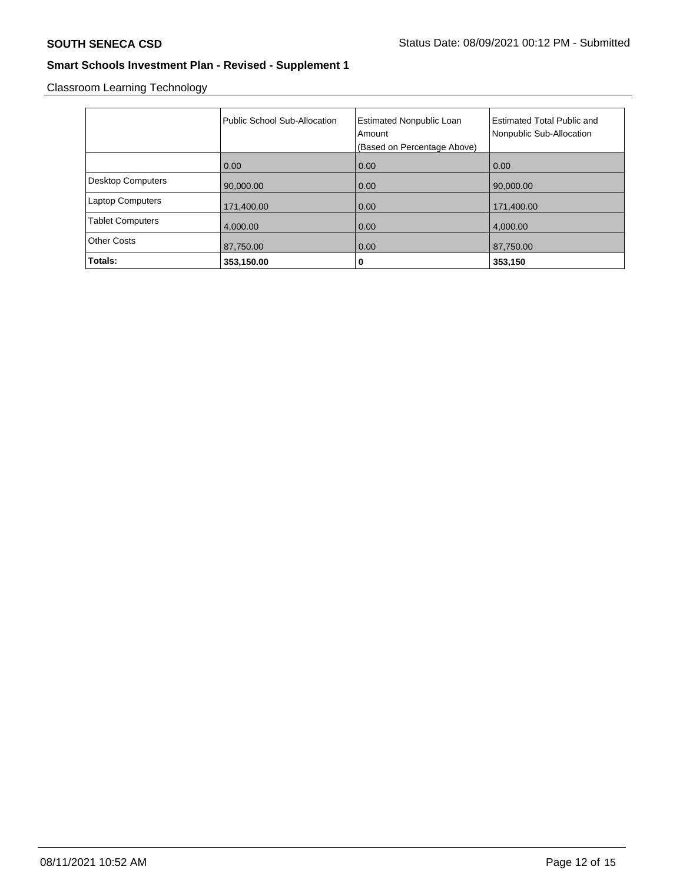Classroom Learning Technology

|                          | Public School Sub-Allocation | <b>Estimated Nonpublic Loan</b><br>Amount<br>(Based on Percentage Above) | <b>Estimated Total Public and</b><br>Nonpublic Sub-Allocation |
|--------------------------|------------------------------|--------------------------------------------------------------------------|---------------------------------------------------------------|
|                          | 0.00                         | 0.00                                                                     | 0.00                                                          |
| <b>Desktop Computers</b> | 90,000.00                    | 0.00                                                                     | 90,000.00                                                     |
| <b>Laptop Computers</b>  | 171,400.00                   | 0.00                                                                     | 171,400.00                                                    |
| <b>Tablet Computers</b>  | 4.000.00                     | 0.00                                                                     | 4.000.00                                                      |
| <b>Other Costs</b>       | 87,750.00                    | 0.00                                                                     | 87,750.00                                                     |
| Totals:                  | 353,150.00                   | 0                                                                        | 353,150                                                       |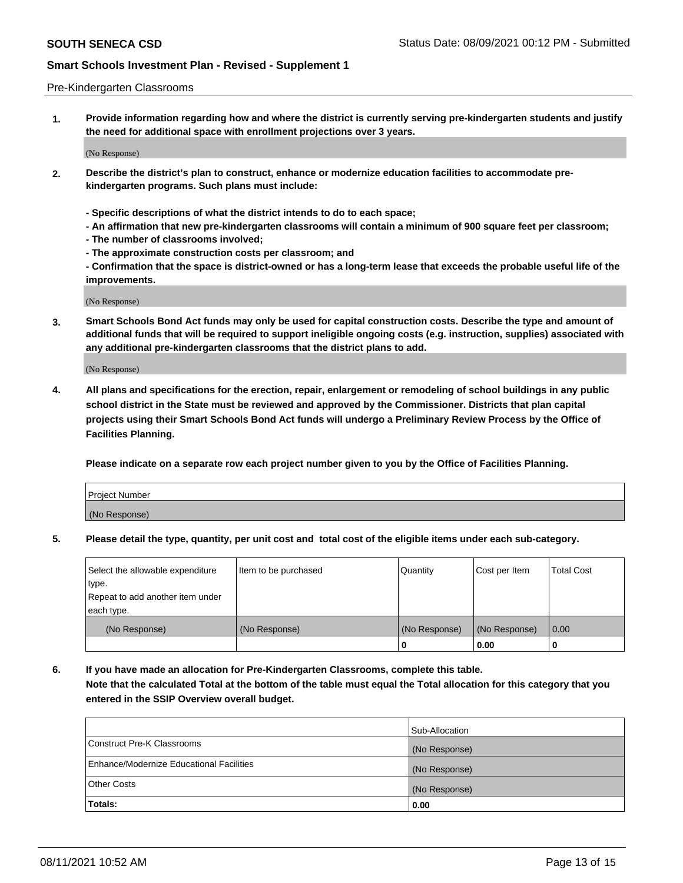#### Pre-Kindergarten Classrooms

**1. Provide information regarding how and where the district is currently serving pre-kindergarten students and justify the need for additional space with enrollment projections over 3 years.**

(No Response)

- **2. Describe the district's plan to construct, enhance or modernize education facilities to accommodate prekindergarten programs. Such plans must include:**
	- **Specific descriptions of what the district intends to do to each space;**
	- **An affirmation that new pre-kindergarten classrooms will contain a minimum of 900 square feet per classroom;**
	- **The number of classrooms involved;**
	- **The approximate construction costs per classroom; and**
	- **Confirmation that the space is district-owned or has a long-term lease that exceeds the probable useful life of the improvements.**

(No Response)

**3. Smart Schools Bond Act funds may only be used for capital construction costs. Describe the type and amount of additional funds that will be required to support ineligible ongoing costs (e.g. instruction, supplies) associated with any additional pre-kindergarten classrooms that the district plans to add.**

(No Response)

**4. All plans and specifications for the erection, repair, enlargement or remodeling of school buildings in any public school district in the State must be reviewed and approved by the Commissioner. Districts that plan capital projects using their Smart Schools Bond Act funds will undergo a Preliminary Review Process by the Office of Facilities Planning.**

**Please indicate on a separate row each project number given to you by the Office of Facilities Planning.**

| Project Number |  |
|----------------|--|
| (No Response)  |  |
|                |  |

**5. Please detail the type, quantity, per unit cost and total cost of the eligible items under each sub-category.**

| Select the allowable expenditure | Item to be purchased | Quantity      | Cost per Item | <b>Total Cost</b> |
|----------------------------------|----------------------|---------------|---------------|-------------------|
| type.                            |                      |               |               |                   |
| Repeat to add another item under |                      |               |               |                   |
| each type.                       |                      |               |               |                   |
| (No Response)                    | (No Response)        | (No Response) | (No Response) | 0.00              |
|                                  |                      | U             | 0.00          |                   |

**6. If you have made an allocation for Pre-Kindergarten Classrooms, complete this table. Note that the calculated Total at the bottom of the table must equal the Total allocation for this category that you entered in the SSIP Overview overall budget.**

|                                          | Sub-Allocation |
|------------------------------------------|----------------|
| Construct Pre-K Classrooms               | (No Response)  |
| Enhance/Modernize Educational Facilities | (No Response)  |
| <b>Other Costs</b>                       | (No Response)  |
| Totals:                                  | 0.00           |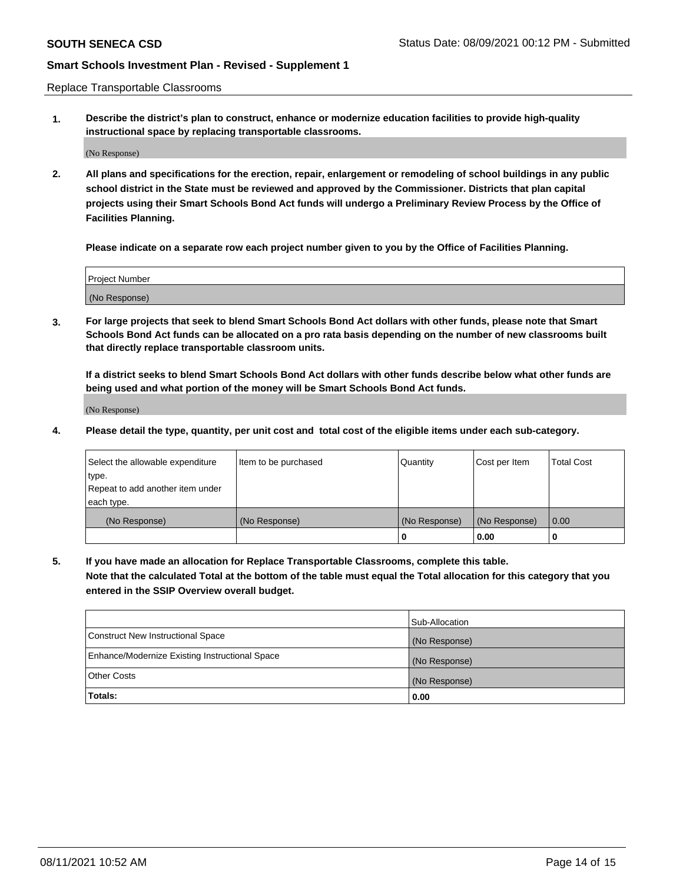Replace Transportable Classrooms

**1. Describe the district's plan to construct, enhance or modernize education facilities to provide high-quality instructional space by replacing transportable classrooms.**

(No Response)

**2. All plans and specifications for the erection, repair, enlargement or remodeling of school buildings in any public school district in the State must be reviewed and approved by the Commissioner. Districts that plan capital projects using their Smart Schools Bond Act funds will undergo a Preliminary Review Process by the Office of Facilities Planning.**

**Please indicate on a separate row each project number given to you by the Office of Facilities Planning.**

| Project Number |  |
|----------------|--|
|                |  |
|                |  |
|                |  |
|                |  |
| (No Response)  |  |
|                |  |
|                |  |
|                |  |

**3. For large projects that seek to blend Smart Schools Bond Act dollars with other funds, please note that Smart Schools Bond Act funds can be allocated on a pro rata basis depending on the number of new classrooms built that directly replace transportable classroom units.**

**If a district seeks to blend Smart Schools Bond Act dollars with other funds describe below what other funds are being used and what portion of the money will be Smart Schools Bond Act funds.**

(No Response)

**4. Please detail the type, quantity, per unit cost and total cost of the eligible items under each sub-category.**

| Select the allowable expenditure | Item to be purchased | Quantity      | Cost per Item | Total Cost |
|----------------------------------|----------------------|---------------|---------------|------------|
| ∣type.                           |                      |               |               |            |
| Repeat to add another item under |                      |               |               |            |
| each type.                       |                      |               |               |            |
| (No Response)                    | (No Response)        | (No Response) | (No Response) | 0.00       |
|                                  |                      | u             | 0.00          |            |

**5. If you have made an allocation for Replace Transportable Classrooms, complete this table. Note that the calculated Total at the bottom of the table must equal the Total allocation for this category that you entered in the SSIP Overview overall budget.**

|                                                | Sub-Allocation |
|------------------------------------------------|----------------|
| Construct New Instructional Space              | (No Response)  |
| Enhance/Modernize Existing Instructional Space | (No Response)  |
| Other Costs                                    | (No Response)  |
| Totals:                                        | 0.00           |